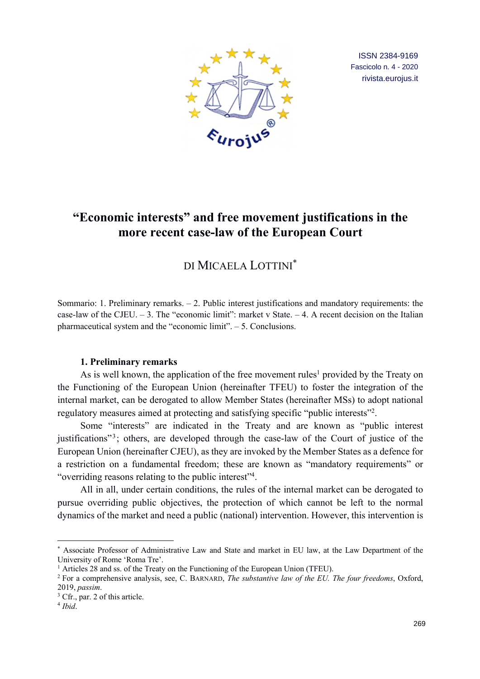

ISSN 2384-9169 Fascicolo n. 4 - 2020 rivista.eurojus.it

# **"Economic interests" and free movement justifications in the more recent case-law of the European Court**

# DI MICAELA LOTTINI\*

Sommario: 1. Preliminary remarks. – 2. Public interest justifications and mandatory requirements: the case-law of the CJEU.  $-3$ . The "economic limit": market v State.  $-4$ . A recent decision on the Italian pharmaceutical system and the "economic limit". – 5. Conclusions.

### **1. Preliminary remarks**

As is well known, the application of the free movement rules<sup>1</sup> provided by the Treaty on the Functioning of the European Union (hereinafter TFEU) to foster the integration of the internal market, can be derogated to allow Member States (hereinafter MSs) to adopt national regulatory measures aimed at protecting and satisfying specific "public interests"2.

Some "interests" are indicated in the Treaty and are known as "public interest justifications"<sup>3</sup>; others, are developed through the case-law of the Court of justice of the European Union (hereinafter CJEU), as they are invoked by the Member States as a defence for a restriction on a fundamental freedom; these are known as "mandatory requirements" or "overriding reasons relating to the public interest"4.

All in all, under certain conditions, the rules of the internal market can be derogated to pursue overriding public objectives, the protection of which cannot be left to the normal dynamics of the market and need a public (national) intervention. However, this intervention is

<sup>\*</sup> Associate Professor of Administrative Law and State and market in EU law, at the Law Department of the University of Rome 'Roma Tre'.

<sup>&</sup>lt;sup>1</sup> Articles 28 and ss. of the Treaty on the Functioning of the European Union (TFEU).

<sup>2</sup> For a comprehensive analysis, see, C. BARNARD, *The substantive law of the EU. The four freedoms*, Oxford, 2019, *passim*.

<sup>&</sup>lt;sup>3</sup> Cfr., par. 2 of this article.

<sup>4</sup> *Ibid*.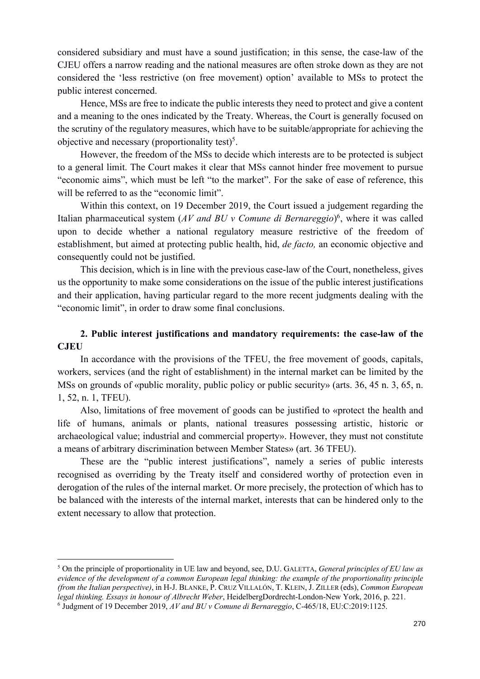considered subsidiary and must have a sound justification; in this sense, the case-law of the CJEU offers a narrow reading and the national measures are often stroke down as they are not considered the 'less restrictive (on free movement) option' available to MSs to protect the public interest concerned.

Hence, MSs are free to indicate the public interests they need to protect and give a content and a meaning to the ones indicated by the Treaty. Whereas, the Court is generally focused on the scrutiny of the regulatory measures, which have to be suitable/appropriate for achieving the objective and necessary (proportionality test)<sup>5</sup>.

However, the freedom of the MSs to decide which interests are to be protected is subject to a general limit. The Court makes it clear that MSs cannot hinder free movement to pursue "economic aims", which must be left "to the market". For the sake of ease of reference, this will be referred to as the "economic limit".

Within this context, on 19 December 2019, the Court issued a judgement regarding the Italian pharmaceutical system (*AV and BU v Comune di Bernareggio*) 6, where it was called upon to decide whether a national regulatory measure restrictive of the freedom of establishment, but aimed at protecting public health, hid, *de facto,* an economic objective and consequently could not be justified.

This decision, which is in line with the previous case-law of the Court, nonetheless, gives us the opportunity to make some considerations on the issue of the public interest justifications and their application, having particular regard to the more recent judgments dealing with the "economic limit", in order to draw some final conclusions.

## **2. Public interest justifications and mandatory requirements: the case-law of the CJEU**

In accordance with the provisions of the TFEU, the free movement of goods, capitals, workers, services (and the right of establishment) in the internal market can be limited by the MSs on grounds of «public morality, public policy or public security» (arts. 36, 45 n. 3, 65, n. 1, 52, n. 1, TFEU).

Also, limitations of free movement of goods can be justified to «protect the health and life of humans, animals or plants, national treasures possessing artistic, historic or archaeological value; industrial and commercial property». However, they must not constitute a means of arbitrary discrimination between Member States» (art. 36 TFEU).

These are the "public interest justifications", namely a series of public interests recognised as overriding by the Treaty itself and considered worthy of protection even in derogation of the rules of the internal market. Or more precisely, the protection of which has to be balanced with the interests of the internal market, interests that can be hindered only to the extent necessary to allow that protection.

<sup>5</sup> On the principle of proportionality in UE law and beyond, see, D.U. GALETTA, *General principles of EU law as evidence of the development of a common European legal thinking: the example of the proportionality principle (from the Italian perspective)*, in H-J. BLANKE, P. CRUZ VILLALÓN, T. KLEIN, J. ZILLER (eds), *Common European legal thinking. Essays in honour of Albrecht Weber*, HeidelbergDordrecht-London-New York, 2016, p. 221. <sup>6</sup> Judgment of 19 December 2019, *AV and BU v Comune di Bernareggio*, C-465/18, EU:C:2019:1125.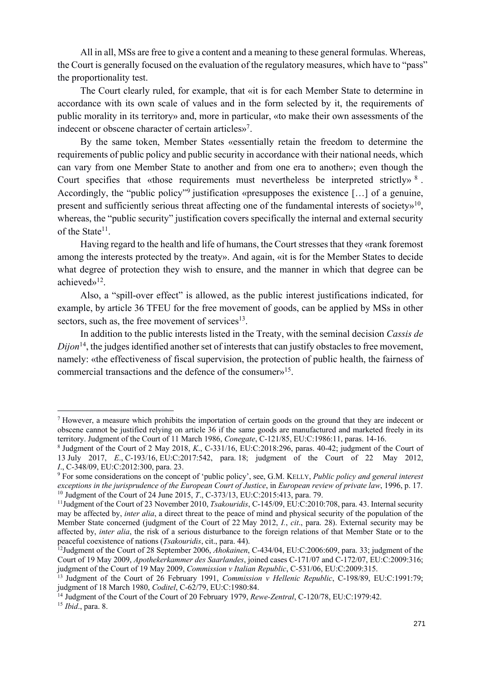All in all, MSs are free to give a content and a meaning to these general formulas. Whereas, the Court is generally focused on the evaluation of the regulatory measures, which have to "pass" the proportionality test.

The Court clearly ruled, for example, that «it is for each Member State to determine in accordance with its own scale of values and in the form selected by it, the requirements of public morality in its territory» and, more in particular, «to make their own assessments of the indecent or obscene character of certain articles»7.

By the same token, Member States «essentially retain the freedom to determine the requirements of public policy and public security in accordance with their national needs, which can vary from one Member State to another and from one era to another»; even though the Court specifies that «those requirements must nevertheless be interpreted strictly»<sup>8</sup>. Accordingly, the "public policy"<sup>9</sup> justification «presupposes the existence [...] of a genuine, present and sufficiently serious threat affecting one of the fundamental interests of society»<sup>10</sup>, whereas, the "public security" justification covers specifically the internal and external security of the State<sup>11</sup>.

Having regard to the health and life of humans, the Court stresses that they «rank foremost among the interests protected by the treaty». And again, «it is for the Member States to decide what degree of protection they wish to ensure, and the manner in which that degree can be achieved»12.

Also, a "spill-over effect" is allowed, as the public interest justifications indicated, for example, by article 36 TFEU for the free movement of goods, can be applied by MSs in other sectors, such as, the free movement of services $13$ .

In addition to the public interests listed in the Treaty, with the seminal decision *Cassis de Dijon*<sup>14</sup>, the judges identified another set of interests that can justify obstacles to free movement, namely: «the effectiveness of fiscal supervision, the protection of public health, the fairness of commercial transactions and the defence of the consumer»15.

<sup>15</sup> *Ibid*., para. 8.

<sup>7</sup> However, a measure which prohibits the importation of certain goods on the ground that they are indecent or obscene cannot be justified relying on article 36 if the same goods are manufactured and marketed freely in its territory. Judgment of the Court of 11 March 1986, *Conegate*, C-121/85, EU:C:1986:11, paras. 14-16.

<sup>8</sup> Judgment of the Court of 2 May 2018, *K*., C-331/16, EU:C:2018:296, paras. 40-42; judgment of the Court of 13 July 2017, *E*., C-193/16, EU:C:2017:542, para. 18; judgment of the Court of 22 May 2012, *I*., C-348/09, EU:C:2012:300, para. 23.

<sup>9</sup> For some considerations on the concept of 'public policy', see, G.M. KELLY, *Public policy and general interest exceptions in the jurisprudence of the European Court of Justice*, in *European review of private law*, 1996, p. 17. 10 Judgment of the Court of 24 June 2015, *T*., C-373/13, EU:C:2015:413, para. 79.

<sup>&</sup>lt;sup>11</sup>Judgment of the Court of 23 November 2010, *Tsakouridis*, C-145/09, EU:C:2010:708, para. 43. Internal security may be affected by, *inter alia*, a direct threat to the peace of mind and physical security of the population of the Member State concerned (judgment of the Court of 22 May 2012, *I.*, *cit*., para. 28). External security may be affected by, *inter alia*, the risk of a serious disturbance to the foreign relations of that Member State or to the peaceful coexistence of nations (*Tsakouridis*, cit., para. 44).

<sup>12</sup>Judgment of the Court of 28 September 2006, *Ahokainen*, C-434/04, EU:C:2006:609, para. 33; judgment of the Court of 19 May 2009, *Apothekerkammer des Saarlandes*, joined cases C-171/07 and C-172/07, EU:C:2009:316; judgment of the Court of 19 May 2009, *Commission v Italian Republic*, C-531/06, EU:C:2009:315.

<sup>13</sup> Judgment of the Court of 26 February 1991, *Commission v Hellenic Republic*, C-198/89, EU:C:1991:79; judgment of 18 March 1980, *Coditel*, C-62/79, EU:C:1980:84.

<sup>14</sup> Judgment of the Court of the Court of 20 February 1979, *Rewe-Zentral*, C-120/78, EU:C:1979:42.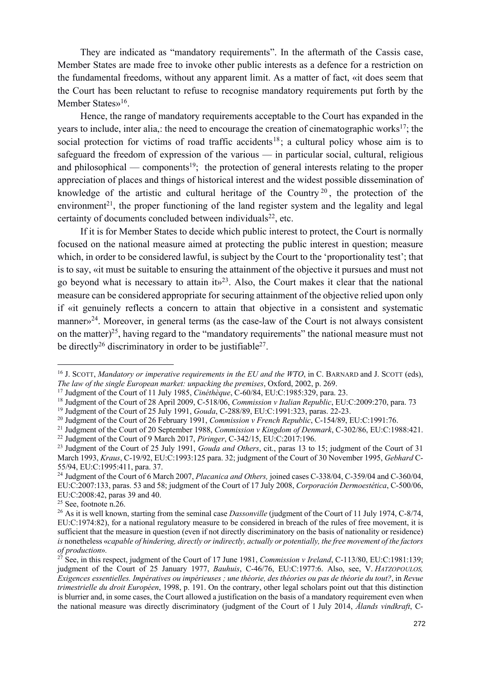They are indicated as "mandatory requirements". In the aftermath of the Cassis case, Member States are made free to invoke other public interests as a defence for a restriction on the fundamental freedoms, without any apparent limit. As a matter of fact, «it does seem that the Court has been reluctant to refuse to recognise mandatory requirements put forth by the Member States»<sup>16</sup>.

Hence, the range of mandatory requirements acceptable to the Court has expanded in the years to include, inter alia,: the need to encourage the creation of cinematographic works<sup>17</sup>; the social protection for victims of road traffic accidents<sup>18</sup>; a cultural policy whose aim is to safeguard the freedom of expression of the various — in particular social, cultural, religious and philosophical — components<sup>19</sup>; the protection of general interests relating to the proper appreciation of places and things of historical interest and the widest possible dissemination of knowledge of the artistic and cultural heritage of the Country  $2<sup>0</sup>$ , the protection of the environment<sup>21</sup>, the proper functioning of the land register system and the legality and legal certainty of documents concluded between individuals<sup>22</sup>, etc.

If it is for Member States to decide which public interest to protect, the Court is normally focused on the national measure aimed at protecting the public interest in question; measure which, in order to be considered lawful, is subject by the Court to the 'proportionality test'; that is to say, «it must be suitable to ensuring the attainment of the objective it pursues and must not go beyond what is necessary to attain it  $x^{23}$ . Also, the Court makes it clear that the national measure can be considered appropriate for securing attainment of the objective relied upon only if «it genuinely reflects a concern to attain that objective in a consistent and systematic manner»<sup>24</sup>. Moreover, in general terms (as the case-law of the Court is not always consistent on the matter)<sup>25</sup>, having regard to the "mandatory requirements" the national measure must not be directly<sup>26</sup> discriminatory in order to be justifiable<sup>27</sup>.

<sup>&</sup>lt;sup>16</sup> J. SCOTT, *Mandatory or imperative requirements in the EU and the WTO*, in C. BARNARD and J. SCOTT (eds), *The law of the single European market: unpacking the premises*, Oxford, 2002, p. 269.

<sup>&</sup>lt;sup>17</sup> Judgment of the Court of 11 July 1985, *Cinéthèque*, C-60/84, EU:C:1985:329, para. 23.

<sup>18</sup> Judgment of the Court of 28 April 2009, C-518/06, *Commission v Italian Republic*, EU:C:2009:270, para. 73

<sup>&</sup>lt;sup>19</sup> Judgment of the Court of 25 July 1991, *Gouda*, C-288/89, EU:C:1991:323, paras. 22-23.<br><sup>20</sup> Judgment of the Court of 26 February 1991, *Commission v French Republic*, C-154/89, EU:C:1991:76.

<sup>&</sup>lt;sup>21</sup> Judgment of the Court of 20 September 1988, *Commission v Kingdom of Denmark*, C-302/86, EU:C:1988:421. <sup>22</sup> Judgment of the Court of 9 March 2017, *Piringer*, C-342/15, EU:C:2017:196.

<sup>23</sup> Judgment of the Court of 25 July 1991, *Gouda and Others*, cit., paras 13 to 15; judgment of the Court of 31 March 1993, *Kraus*, C-19/92, EU:C:1993:125 para. 32; judgment of the Court of 30 November 1995, *Gebhard* C-55/94, EU:C:1995:411, para. 37.

<sup>24</sup> Judgment of the Court of 6 March 2007, *Placanica and Others,* joined cases C-338/04, C-359/04 and C-360/04, EU:C:2007:133, paras. 53 and 58; judgment of the Court of 17 July 2008, *Corporación Dermoestética*, C-500/06, EU:C:2008:42, paras 39 and 40.

 $25$  See, footnote n.26.

<sup>&</sup>lt;sup>26</sup> As it is well known, starting from the seminal case *Dassonville* (judgment of the Court of 11 July 1974, C-8/74, EU:C:1974:82), for a national regulatory measure to be considered in breach of the rules of free movement, it is sufficient that the measure in question (even if not directly discriminatory on the basis of nationality or residence) *is* nonetheless «*capable of hindering, directly orindirectly, actually or potentially, the free movement of the factors of production*»*.*

<sup>27</sup> See, in this respect, judgment of the Court of 17 June 1981, *Commission v Ireland*, C-113/80, EU:C:1981:139; judgment of the Court of 25 January 1977, *Bauhuis*, C-46/76, EU:C:1977:6. Also, see, V. *HATZOPOULOS, Exigences essentielles. Impératives ou impérieuses ; une théorie, des théories ou pas de théorie du tout?*, in *Revue trimestrielle du droit Européen*, 1998, p. 191. On the contrary, other legal scholars point out that this distinction is blurrier and, in some cases, the Court allowed a justification on the basis of a mandatory requirement even when the national measure was directly discriminatory (judgment of the Court of 1 July 2014, *Ålands vindkraft*, C-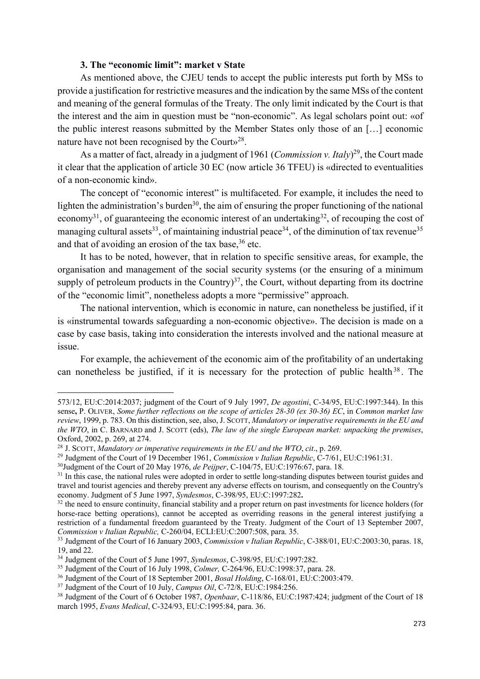## **3. The "economic limit": market v State**

As mentioned above, the CJEU tends to accept the public interests put forth by MSs to provide a justification for restrictive measures and the indication by the same MSs of the content and meaning of the general formulas of the Treaty. The only limit indicated by the Court is that the interest and the aim in question must be "non-economic". As legal scholars point out: «of the public interest reasons submitted by the Member States only those of an […] economic nature have not been recognised by the Court»<sup>28</sup>.

As a matter of fact, already in a judgment of 1961 (*Commission v. Italy*) 29, the Court made it clear that the application of article 30 EC (now article 36 TFEU) is «directed to eventualities of a non-economic kind».

The concept of "economic interest" is multifaceted. For example, it includes the need to lighten the administration's burden<sup>30</sup>, the aim of ensuring the proper functioning of the national economy<sup>31</sup>, of guaranteeing the economic interest of an undertaking<sup>32</sup>, of recouping the cost of managing cultural assets<sup>33</sup>, of maintaining industrial peace<sup>34</sup>, of the diminution of tax revenue<sup>35</sup> and that of avoiding an erosion of the tax base,<sup>36</sup> etc.

It has to be noted, however, that in relation to specific sensitive areas, for example, the organisation and management of the social security systems (or the ensuring of a minimum supply of petroleum products in the Country)<sup>37</sup>, the Court, without departing from its doctrine of the "economic limit", nonetheless adopts a more "permissive" approach.

The national intervention, which is economic in nature, can nonetheless be justified, if it is «instrumental towards safeguarding a non-economic objective». The decision is made on a case by case basis, taking into consideration the interests involved and the national measure at issue.

For example, the achievement of the economic aim of the profitability of an undertaking can nonetheless be justified, if it is necessary for the protection of public health<sup>38</sup>. The

<sup>573/12,</sup> EU:C:2014:2037; judgment of the Court of 9 July 1997, *De agostini*, C-34/95, EU:C:1997:344). In this sense**,** P. OLIVER, *Some further reflections on the scope of articles 28-30 (ex 30-36) EC*, in *Common market law review*, 1999, p. 783. On this distinction, see, also, J. SCOTT, *Mandatory or imperative requirements in the EU and the WTO*, in C. BARNARD and J. SCOTT (eds), *The law of the single European market: unpacking the premises*, Oxford, 2002, p. 269, at 274.

<sup>28</sup> J. SCOTT, *Mandatory or imperative requirements in the EU and the WTO*, *cit*., p. 269.

<sup>29</sup> Judgment of the Court of 19 December 1961, *Commission v Italian Republic*, C-7/61, EU:C:1961:31.

<sup>30</sup>Judgment of the Court of 20 May 1976, *de Peijper*, C-104/75, EU:C:1976:67, para. 18.

<sup>&</sup>lt;sup>31</sup> In this case, the national rules were adopted in order to settle long-standing disputes between tourist guides and travel and tourist agencies and thereby prevent any adverse effects on tourism, and consequently on the Country's economy. Judgment of 5 June 1997, *Syndesmos*, C-398/95, EU:C:1997:282**.**

<sup>&</sup>lt;sup>32</sup> the need to ensure continuity, financial stability and a proper return on past investments for licence holders (for horse-race betting operations), cannot be accepted as overriding reasons in the general interest justifying a restriction of a fundamental freedom guaranteed by the Treaty. Judgment of the Court of 13 September 2007, *Commission v Italian Republic,* C-260/04, ECLI:EU:C:2007:508, para. 35.

<sup>33</sup> Judgment of the Court of 16 January 2003, *Commission v Italian Republic*, C-388/01, EU:C:2003:30, paras. 18, 19, and 22.

<sup>34</sup> Judgment of the Court of 5 June 1997, *Syndesmos*, C-398/95, EU:C:1997:282.

<sup>35</sup> Judgment of the Court of 16 July 1998, *Colmer,* C-264/96, EU:C:1998:37, para. 28.

<sup>36</sup> Judgment of the Court of 18 September 2001, *Bosal Holding*, C-168/01, EU:C:2003:479.

<sup>37</sup> Judgment of the Court of 10 July, *Campus Oil*, C-72/8, EU:C:1984:256.

<sup>38</sup> Judgment of the Court of 6 October 1987, *Openbaar*, C-118/86, EU:C:1987:424; judgment of the Court of 18 march 1995, *Evans Medical*, C-324/93, EU:C:1995:84, para. 36.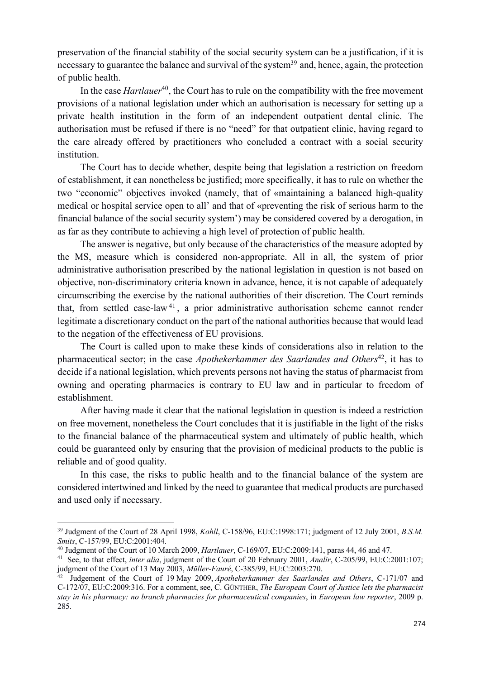preservation of the financial stability of the social security system can be a justification, if it is necessary to guarantee the balance and survival of the system<sup>39</sup> and, hence, again, the protection of public health.

In the case *Hartlauer*<sup>40</sup>, the Court has to rule on the compatibility with the free movement provisions of a national legislation under which an authorisation is necessary for setting up a private health institution in the form of an independent outpatient dental clinic. The authorisation must be refused if there is no "need" for that outpatient clinic, having regard to the care already offered by practitioners who concluded a contract with a social security institution.

The Court has to decide whether, despite being that legislation a restriction on freedom of establishment, it can nonetheless be justified; more specifically, it has to rule on whether the two "economic" objectives invoked (namely, that of «maintaining a balanced high-quality medical or hospital service open to all' and that of «preventing the risk of serious harm to the financial balance of the social security system') may be considered covered by a derogation, in as far as they contribute to achieving a high level of protection of public health.

The answer is negative, but only because of the characteristics of the measure adopted by the MS, measure which is considered non-appropriate. All in all, the system of prior administrative authorisation prescribed by the national legislation in question is not based on objective, non-discriminatory criteria known in advance, hence, it is not capable of adequately circumscribing the exercise by the national authorities of their discretion. The Court reminds that, from settled case-law  $41$ , a prior administrative authorisation scheme cannot render legitimate a discretionary conduct on the part of the national authorities because that would lead to the negation of the effectiveness of EU provisions.

The Court is called upon to make these kinds of considerations also in relation to the pharmaceutical sector; in the case *Apothekerkammer des Saarlandes and Others*42, it has to decide if a national legislation, which prevents persons not having the status of pharmacist from owning and operating pharmacies is contrary to EU law and in particular to freedom of establishment.

After having made it clear that the national legislation in question is indeed a restriction on free movement, nonetheless the Court concludes that it is justifiable in the light of the risks to the financial balance of the pharmaceutical system and ultimately of public health, which could be guaranteed only by ensuring that the provision of medicinal products to the public is reliable and of good quality.

In this case, the risks to public health and to the financial balance of the system are considered intertwined and linked by the need to guarantee that medical products are purchased and used only if necessary.

<sup>&</sup>lt;sup>39</sup> Judgment of the Court of 28 April 1998, *Kohll*, C-158/96, EU:C:1998:171; judgment of 12 July 2001, *B.S.M. Smits*, C-157/99, EU:C:2001:404.

<sup>40</sup> Judgment of the Court of 10 March 2009, *Hartlauer*, C-169/07, EU:C:2009:141, paras 44, 46 and 47.

<sup>41</sup> See, to that effect, *inter alia*, judgment of the Court of 20 February 2001, *Analir*, C-205/99, EU:C:2001:107; judgment of the Court of 13 May 2003, *Müller-Fauré*, C-385/99, EU:C:2003:270.

<sup>42</sup> Judgement of the Court of 19 May 2009, *Apothekerkammer des Saarlandes and Others*, C-171/07 and C-172/07, EU:C:2009:316. For a comment, see, C. GÜNTHER, *The European Court of Justice lets the pharmacist stay in his pharmacy: no branch pharmacies for pharmaceutical companies*, in *European law reporter*, 2009 p. 285.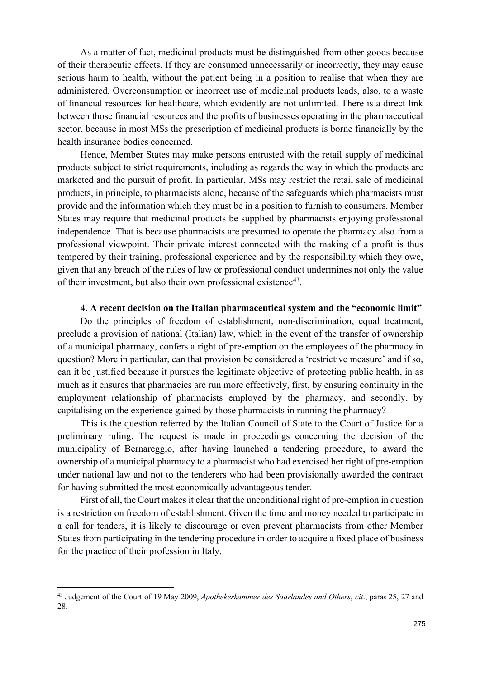As a matter of fact, medicinal products must be distinguished from other goods because of their therapeutic effects. If they are consumed unnecessarily or incorrectly, they may cause serious harm to health, without the patient being in a position to realise that when they are administered. Overconsumption or incorrect use of medicinal products leads, also, to a waste of financial resources for healthcare, which evidently are not unlimited. There is a direct link between those financial resources and the profits of businesses operating in the pharmaceutical sector, because in most MSs the prescription of medicinal products is borne financially by the health insurance bodies concerned.

Hence, Member States may make persons entrusted with the retail supply of medicinal products subject to strict requirements, including as regards the way in which the products are marketed and the pursuit of profit. In particular, MSs may restrict the retail sale of medicinal products, in principle, to pharmacists alone, because of the safeguards which pharmacists must provide and the information which they must be in a position to furnish to consumers. Member States may require that medicinal products be supplied by pharmacists enjoying professional independence. That is because pharmacists are presumed to operate the pharmacy also from a professional viewpoint. Their private interest connected with the making of a profit is thus tempered by their training, professional experience and by the responsibility which they owe, given that any breach of the rules of law or professional conduct undermines not only the value of their investment, but also their own professional existence43.

### **4. A recent decision on the Italian pharmaceutical system and the "economic limit"**

Do the principles of freedom of establishment, non-discrimination, equal treatment, preclude a provision of national (Italian) law, which in the event of the transfer of ownership of a municipal pharmacy, confers a right of pre-emption on the employees of the pharmacy in question? More in particular, can that provision be considered a 'restrictive measure' and if so, can it be justified because it pursues the legitimate objective of protecting public health, in as much as it ensures that pharmacies are run more effectively, first, by ensuring continuity in the employment relationship of pharmacists employed by the pharmacy, and secondly, by capitalising on the experience gained by those pharmacists in running the pharmacy?

This is the question referred by the Italian Council of State to the Court of Justice for a preliminary ruling. The request is made in proceedings concerning the decision of the municipality of Bernareggio, after having launched a tendering procedure, to award the ownership of a municipal pharmacy to a pharmacist who had exercised her right of pre-emption under national law and not to the tenderers who had been provisionally awarded the contract for having submitted the most economically advantageous tender.

First of all, the Court makes it clear that the unconditional right of pre-emption in question is a restriction on freedom of establishment. Given the time and money needed to participate in a call for tenders, it is likely to discourage or even prevent pharmacists from other Member States from participating in the tendering procedure in order to acquire a fixed place of business for the practice of their profession in Italy.

<sup>43</sup> Judgement of the Court of 19 May 2009, *Apothekerkammer des Saarlandes and Others*, *cit*., paras 25, 27 and 28.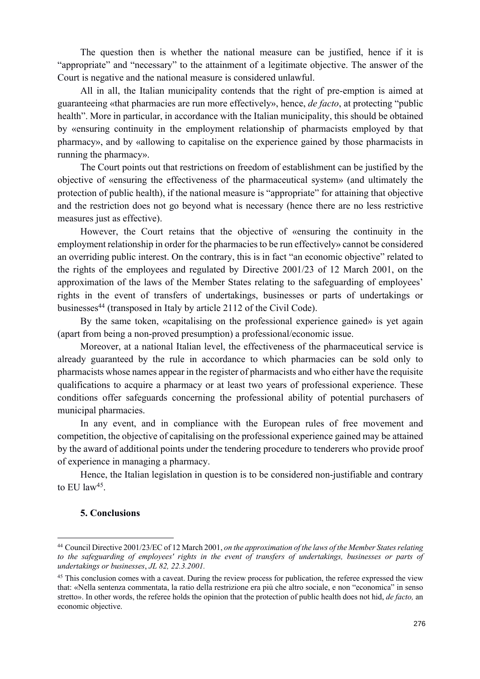The question then is whether the national measure can be justified, hence if it is "appropriate" and "necessary" to the attainment of a legitimate objective. The answer of the Court is negative and the national measure is considered unlawful.

All in all, the Italian municipality contends that the right of pre-emption is aimed at guaranteeing «that pharmacies are run more effectively», hence, *de facto*, at protecting "public health". More in particular, in accordance with the Italian municipality, this should be obtained by «ensuring continuity in the employment relationship of pharmacists employed by that pharmacy», and by «allowing to capitalise on the experience gained by those pharmacists in running the pharmacy».

The Court points out that restrictions on freedom of establishment can be justified by the objective of «ensuring the effectiveness of the pharmaceutical system» (and ultimately the protection of public health), if the national measure is "appropriate" for attaining that objective and the restriction does not go beyond what is necessary (hence there are no less restrictive measures just as effective).

However, the Court retains that the objective of «ensuring the continuity in the employment relationship in order for the pharmacies to be run effectively» cannot be considered an overriding public interest. On the contrary, this is in fact "an economic objective" related to the rights of the employees and regulated by Directive 2001/23 of 12 March 2001, on the approximation of the laws of the Member States relating to the safeguarding of employees' rights in the event of transfers of undertakings, businesses or parts of undertakings or businesses<sup>44</sup> (transposed in Italy by article 2112 of the Civil Code).

By the same token, «capitalising on the professional experience gained» is yet again (apart from being a non-proved presumption) a professional/economic issue.

Moreover, at a national Italian level, the effectiveness of the pharmaceutical service is already guaranteed by the rule in accordance to which pharmacies can be sold only to pharmacists whose names appear in the register of pharmacists and who either have the requisite qualifications to acquire a pharmacy or at least two years of professional experience. These conditions offer safeguards concerning the professional ability of potential purchasers of municipal pharmacies.

In any event, and in compliance with the European rules of free movement and competition, the objective of capitalising on the professional experience gained may be attained by the award of additional points under the tendering procedure to tenderers who provide proof of experience in managing a pharmacy.

Hence, the Italian legislation in question is to be considered non-justifiable and contrary to EU law<sup>45</sup>.

### **5. Conclusions**

<sup>44</sup> Council Directive 2001/23/EC of 12 March 2001, *on the approximation of the laws of the Member States relating to the safeguarding of employees' rights in the event of transfers of undertakings, businesses or parts of undertakings or businesses*, *JL 82, 22.3.2001.*

<sup>&</sup>lt;sup>45</sup> This conclusion comes with a caveat. During the review process for publication, the referee expressed the view that: «Nella sentenza commentata, la ratio della restrizione era più che altro sociale, e non "economica" in senso stretto». In other words, the referee holds the opinion that the protection of public health does not hid, *de facto,* an economic objective.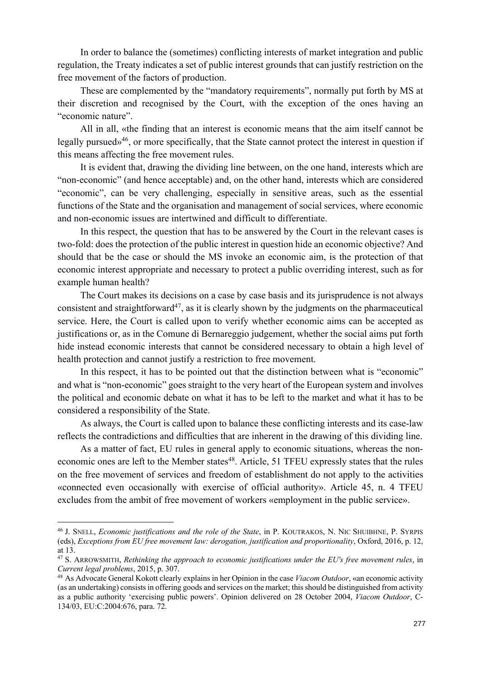In order to balance the (sometimes) conflicting interests of market integration and public regulation, the Treaty indicates a set of public interest grounds that can justify restriction on the free movement of the factors of production.

These are complemented by the "mandatory requirements", normally put forth by MS at their discretion and recognised by the Court, with the exception of the ones having an "economic nature".

All in all, «the finding that an interest is economic means that the aim itself cannot be legally pursued»46, or more specifically, that the State cannot protect the interest in question if this means affecting the free movement rules.

It is evident that, drawing the dividing line between, on the one hand, interests which are "non-economic" (and hence acceptable) and, on the other hand, interests which are considered "economic", can be very challenging, especially in sensitive areas, such as the essential functions of the State and the organisation and management of social services, where economic and non-economic issues are intertwined and difficult to differentiate.

In this respect, the question that has to be answered by the Court in the relevant cases is two-fold: does the protection of the public interest in question hide an economic objective? And should that be the case or should the MS invoke an economic aim, is the protection of that economic interest appropriate and necessary to protect a public overriding interest, such as for example human health?

The Court makes its decisions on a case by case basis and its jurisprudence is not always consistent and straightforward<sup>47</sup>, as it is clearly shown by the judgments on the pharmaceutical service. Here, the Court is called upon to verify whether economic aims can be accepted as justifications or, as in the Comune di Bernareggio judgement, whether the social aims put forth hide instead economic interests that cannot be considered necessary to obtain a high level of health protection and cannot justify a restriction to free movement.

In this respect, it has to be pointed out that the distinction between what is "economic" and what is "non-economic" goes straight to the very heart of the European system and involves the political and economic debate on what it has to be left to the market and what it has to be considered a responsibility of the State.

As always, the Court is called upon to balance these conflicting interests and its case-law reflects the contradictions and difficulties that are inherent in the drawing of this dividing line.

As a matter of fact, EU rules in general apply to economic situations, whereas the noneconomic ones are left to the Member states<sup>48</sup>. Article, 51 TFEU expressly states that the rules on the free movement of services and freedom of establishment do not apply to the activities «connected even occasionally with exercise of official authority». Article 45, n. 4 TFEU excludes from the ambit of free movement of workers «employment in the public service».

<sup>46</sup> J. SNELL, *Economic justifications and the role of the State*, in P. KOUTRAKOS, N. NIC SHUIBHNE, P. SYRPIS (eds), *Exceptions from EU free movement law: derogation, justification and proportionality*, Oxford, 2016, p. 12, at 13.

<sup>47</sup> S. ARROWSMITH, *Rethinking the approach to economic justifications under the EU's free movement rules*, in *Current legal problems*, 2015, p. 307.

<sup>48</sup> As Advocate General Kokott clearly explains in her Opinion in the case *Viacom Outdoor*, «an economic activity (as an undertaking) consists in offering goods and services on the market; this should be distinguished from activity as a public authority 'exercising public powers'. Opinion delivered on 28 October 2004, *Viacom Outdoor*, C-134/03, EU:C:2004:676, para. 72.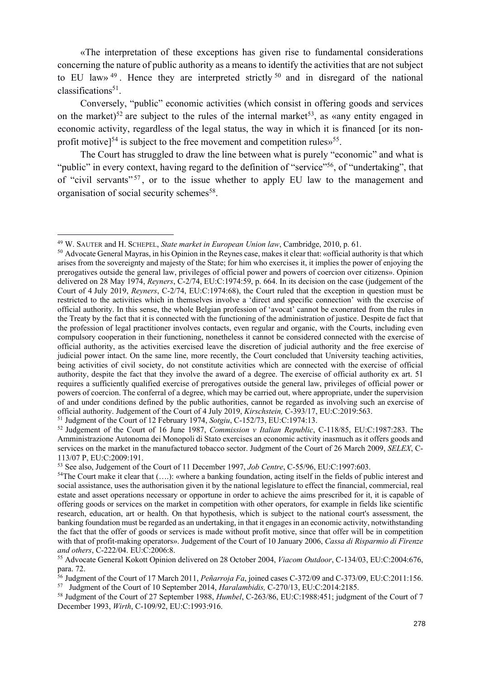«The interpretation of these exceptions has given rise to fundamental considerations concerning the nature of public authority as a means to identify the activities that are not subject to EU law»  $49$ . Hence they are interpreted strictly  $50$  and in disregard of the national  $classifications<sup>51</sup>$ .

Conversely, "public" economic activities (which consist in offering goods and services on the market)<sup>52</sup> are subject to the rules of the internal market<sup>53</sup>, as «any entity engaged in economic activity, regardless of the legal status, the way in which it is financed [or its nonprofit motive]<sup>54</sup> is subject to the free movement and competition rules»<sup>55</sup>.

The Court has struggled to draw the line between what is purely "economic" and what is "public" in every context, having regard to the definition of "service"<sup>56</sup>, of "undertaking", that of "civil servants"<sup>57</sup>, or to the issue whether to apply EU law to the management and organisation of social security schemes<sup>58</sup>.

<sup>49</sup> W. SAUTER and H. SCHEPEL, *State market in European Union law*, Cambridge, 2010, p. 61.

<sup>&</sup>lt;sup>50</sup> Advocate General Mayras, in his Opinion in the Reynes case, makes it clear that: «official authority is that which arises from the sovereignty and majesty of the State; for him who exercises it, it implies the power of enjoying the prerogatives outside the general law, privileges of official power and powers of coercion over citizens». Opinion delivered on 28 May 1974, *Reyners*, C-2/74, EU:C:1974:59, p. 664. In its decision on the case (judgement of the Court of 4 July 2019, *Reyners*, C-2/74, EU:C:1974:68), the Court ruled that the exception in question must be restricted to the activities which in themselves involve a 'direct and specific connection' with the exercise of official authority. In this sense, the whole Belgian profession of 'avocat' cannot be exonerated from the rules in the Treaty by the fact that it is connected with the functioning of the administration of justice. Despite de fact that the profession of legal practitioner involves contacts, even regular and organic, with the Courts, including even compulsory cooperation in their functioning, nonetheless it cannot be considered connected with the exercise of official authority, as the activities exercised leave the discretion of judicial authority and the free exercise of judicial power intact. On the same line, more recently, the Court concluded that University teaching activities, being activities of civil society, do not constitute activities which are connected with the exercise of official authority, despite the fact that they involve the award of a degree. The exercise of official authority ex art. 51 requires a sufficiently qualified exercise of prerogatives outside the general law, privileges of official power or powers of coercion. The conferral of a degree, which may be carried out, where appropriate, under the supervision of and under conditions defined by the public authorities, cannot be regarded as involving such an exercise of official authority. Judgement of the Court of 4 July 2019, *Kirschstein,* C-393/17, EU:C:2019:563. <sup>51</sup> Judgment of the Court of 12 February 1974, *Sotgiu*, C-152/73, EU:C:1974:13.

<sup>52</sup> Judgement of the Court of 16 June 1987, *Commission v Italian Republic*, C-118/85, EU:C:1987:283. The Amministrazione Autonoma dei Monopoli di Stato exercises an economic activity inasmuch as it offers goods and services on the market in the manufactured tobacco sector. Judgment of the Court of 26 March 2009, *SELEX*, C-113/07 P, EU:C:2009:191.

<sup>53</sup> See also, Judgement of the Court of 11 December 1997, *Job Centre*, C-55/96, EU:C:1997:603.

 $54$ The Court make it clear that  $(...)$ : «where a banking foundation, acting itself in the fields of public interest and social assistance, uses the authorisation given it by the national legislature to effect the financial, commercial, real estate and asset operations necessary or opportune in order to achieve the aims prescribed for it, it is capable of offering goods or services on the market in competition with other operators, for example in fields like scientific research, education, art or health. On that hypothesis, which is subject to the national court's assessment, the banking foundation must be regarded as an undertaking, in that it engages in an economic activity, notwithstanding the fact that the offer of goods or services is made without profit motive, since that offer will be in competition with that of profit-making operators». Judgement of the Court of 10 January 2006, *Cassa di Risparmio di Firenze and others*, C-222/04. EU:C:2006:8.

<sup>55</sup> Advocate General Kokott Opinion delivered on 28 October 2004, *Viacom Outdoor*, C-134/03, EU:C:2004:676, para. 72.

<sup>56</sup> Judgment of the Court of 17 March 2011, *Peñarroja Fa*, joined cases C-372/09 and C-373/09, EU:C:2011:156. <sup>57</sup>Judgment of the Court of 10 September 2014, *Haralambidis,* C-270/13, EU:C:2014:2185.

<sup>58</sup> Judgment of the Court of 27 September 1988, *Humbel*, C-263/86, EU:C:1988:451; judgment of the Court of 7 December 1993, *Wirth*, C-109/92, EU:C:1993:916.